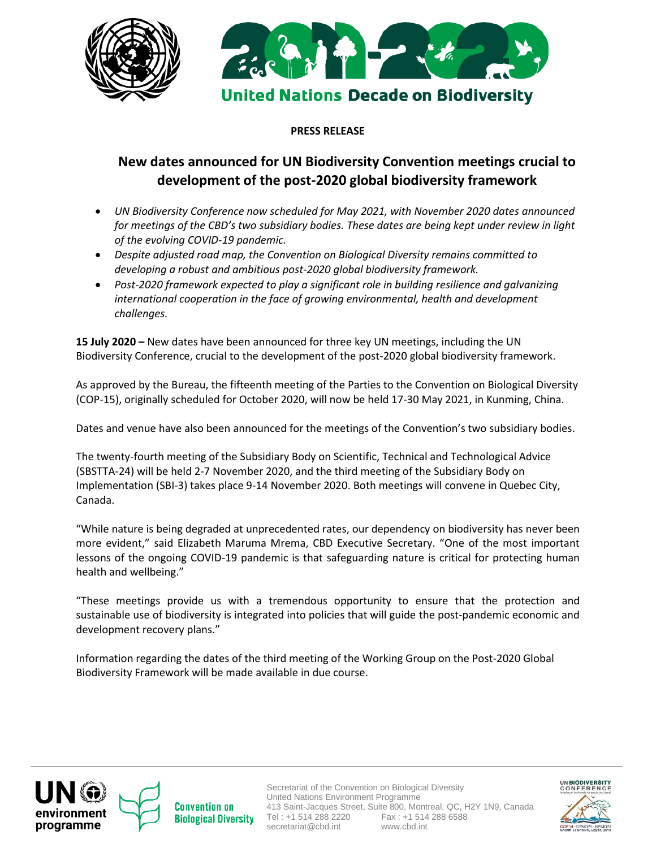



## **PRESS RELEASE**

## **New dates announced for UN Biodiversity Convention meetings crucial to development of the post-2020 global biodiversity framework**

- *UN Biodiversity Conference now scheduled for May 2021, with November 2020 dates announced for meetings of the CBD's two subsidiary bodies. These dates are being kept under review in light of the evolving COVID-19 pandemic.*
- *Despite adjusted road map, the Convention on Biological Diversity remains committed to developing a robust and ambitious post-2020 global biodiversity framework.*
- *Post-2020 framework expected to play a significant role in building resilience and galvanizing international cooperation in the face of growing environmental, health and development challenges.*

**15 July 2020 –** New dates have been announced for three key UN meetings, including the UN Biodiversity Conference, crucial to the development of the post-2020 global biodiversity framework.

As approved by the Bureau, the fifteenth meeting of the Parties to the Convention on Biological Diversity (COP-15), originally scheduled for October 2020, will now be held 17-30 May 2021, in Kunming, China.

Dates and venue have also been announced for the meetings of the Convention's two subsidiary bodies.

The twenty-fourth meeting of the Subsidiary Body on Scientific, Technical and Technological Advice (SBSTTA-24) will be held 2-7 November 2020, and the third meeting of the Subsidiary Body on Implementation (SBI-3) takes place 9-14 November 2020. Both meetings will convene in Quebec City, Canada.

"While nature is being degraded at unprecedented rates, our dependency on biodiversity has never been more evident," said Elizabeth Maruma Mrema, CBD Executive Secretary. "One of the most important lessons of the ongoing COVID-19 pandemic is that safeguarding nature is critical for protecting human health and wellbeing."

"These meetings provide us with a tremendous opportunity to ensure that the protection and sustainable use of biodiversity is integrated into policies that will guide the post-pandemic economic and development recovery plans."

Information regarding the dates of the third meeting of the Working Group on the Post-2020 Global Biodiversity Framework will be made available in due course.





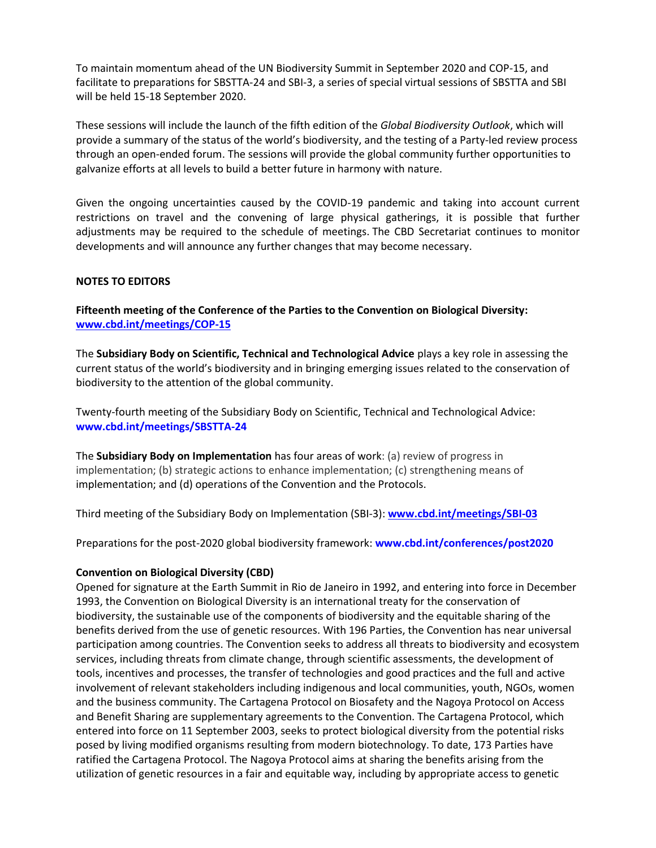To maintain momentum ahead of the UN Biodiversity Summit in September 2020 and COP-15, and facilitate to preparations for SBSTTA-24 and SBI-3, a series of special virtual sessions of SBSTTA and SBI will be held 15-18 September 2020.

These sessions will include the launch of the fifth edition of the *Global Biodiversity Outlook*, which will provide a summary of the status of the world's biodiversity, and the testing of a Party-led review process through an open-ended forum. The sessions will provide the global community further opportunities to galvanize efforts at all levels to build a better future in harmony with nature.

Given the ongoing uncertainties caused by the COVID-19 pandemic and taking into account current restrictions on travel and the convening of large physical gatherings, it is possible that further adjustments may be required to the schedule of meetings. The CBD Secretariat continues to monitor developments and will announce any further changes that may become necessary.

## **NOTES TO EDITORS**

**Fifteenth meeting of the Conference of the Parties to the Convention on Biological Diversity: [www.cbd.int/meetings/COP-15](http://www.cbd.int/meetings/COP-15)**

The **Subsidiary Body on Scientific, Technical and Technological Advice** plays a key role in assessing the current status of the world's biodiversity and in bringing emerging issues related to the conservation of biodiversity to the attention of the global community.

Twenty-fourth meeting of the Subsidiary Body on Scientific, Technical and Technological Advice: **www.cbd.int/meetings/SBSTTA-24** 

The **Subsidiary Body on Implementation** has four areas of work: (a) review of progress in implementation; (b) strategic actions to enhance implementation; (c) strengthening means of implementation; and (d) operations of the Convention and the Protocols.

Third meeting of the Subsidiary Body on Implementation (SBI-3): **[www.cbd.int/meetings/SBI-03](http://www.cbd.int/meetings/SBI-03)**

Preparations for the post-2020 global biodiversity framework: **www.cbd.int/conferences/post2020**

## **Convention on Biological Diversity (CBD)**

Opened for signature at the Earth Summit in Rio de Janeiro in 1992, and entering into force in December 1993, the Convention on Biological Diversity is an international treaty for the conservation of biodiversity, the sustainable use of the components of biodiversity and the equitable sharing of the benefits derived from the use of genetic resources. With 196 Parties, the Convention has near universal participation among countries. The Convention seeks to address all threats to biodiversity and ecosystem services, including threats from climate change, through scientific assessments, the development of tools, incentives and processes, the transfer of technologies and good practices and the full and active involvement of relevant stakeholders including indigenous and local communities, youth, NGOs, women and the business community. The Cartagena Protocol on Biosafety and the Nagoya Protocol on Access and Benefit Sharing are supplementary agreements to the Convention. The Cartagena Protocol, which entered into force on 11 September 2003, seeks to protect biological diversity from the potential risks posed by living modified organisms resulting from modern biotechnology. To date, 173 Parties have ratified the Cartagena Protocol. The Nagoya Protocol aims at sharing the benefits arising from the utilization of genetic resources in a fair and equitable way, including by appropriate access to genetic